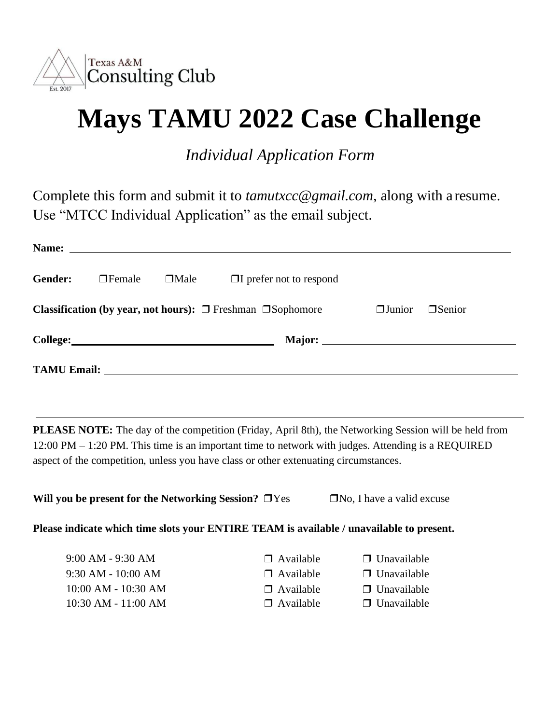

## **Mays TAMU 2022 Case Challenge**

*Individual Application Form*

Complete this form and submit it to *[tamutxcc@gmail.com](mailto:tamutxcc@gmail.com),* along with a resume. Use "MTCC Individual Application" as the email subject.

| Name:                                                                                                          |               |             | <u> 1989 - Andrea State Barbara, amerikan personal di sebagai personal di sebagai personal di sebagai personal di</u> |  |  |  |
|----------------------------------------------------------------------------------------------------------------|---------------|-------------|-----------------------------------------------------------------------------------------------------------------------|--|--|--|
| Gender:                                                                                                        | $\Box$ Female | $\Box$ Male | $\Box$ prefer not to respond                                                                                          |  |  |  |
| <b>Classification (by year, not hours):</b> $\Box$ Freshman $\Box$ Sophomore<br>$\Box$ Junior<br><b>Senior</b> |               |             |                                                                                                                       |  |  |  |
|                                                                                                                |               |             |                                                                                                                       |  |  |  |
| <b>TAMU Email:</b>                                                                                             |               |             |                                                                                                                       |  |  |  |

**PLEASE NOTE:** The day of the competition (Friday, April 8th), the Networking Session will be held from 12:00 PM – 1:20 PM. This time is an important time to network with judges. Attending is a REQUIRED aspect of the competition, unless you have class or other extenuating circumstances.

| Will you be present for the Networking Session? $\Box$ Yes                               |                  | $\Box$ No, I have a valid excuse |  |  |
|------------------------------------------------------------------------------------------|------------------|----------------------------------|--|--|
| Please indicate which time slots your ENTIRE TEAM is available / unavailable to present. |                  |                                  |  |  |
| $9:00$ AM - $9:30$ AM                                                                    | $\Box$ Available | $\Box$ Unavailable               |  |  |
| $0.20 \pm 10.00 \pm 10.00$                                                               |                  |                                  |  |  |

9:30 AM - 10:00 AM ◯ Available ◯ Unavailable 10:00 AM - 10:30 AM ❒ Available ❒ Unavailable 10:30 AM - 11:00 AM ❒ Available ❒ Unavailable